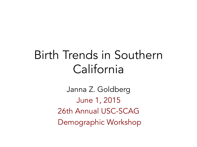# Birth Trends in Southern California

Janna Z. Goldberg June 1, 2015 26th Annual USC-SCAG Demographic Workshop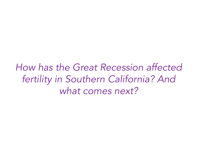*How has the Great Recession affected fertility in Southern California? And what comes next?*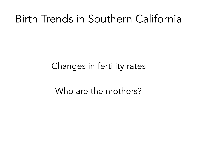# Birth Trends in Southern California

### Changes in fertility rates

### Who are the mothers?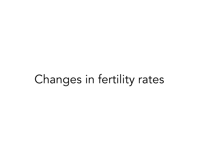# Changes in fertility rates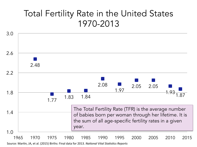### Total Fertility Rate in the United States 1970-2013



Source: Martin, JA, et al. (2015) Births: Final data for 2013. *National Vital Statistics Reports*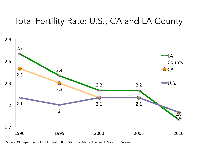### Total Fertility Rate: U.S., CA and LA County



Source: CA Department of Public Health: Birth Statistical Master File, and U.S. Census Bureau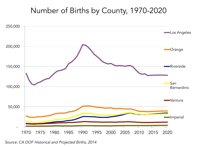#### Number of Births by County, 1970-2020



*Source: CA DOF Historical and Projected Births, 2014*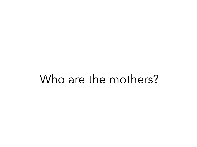# Who are the mothers?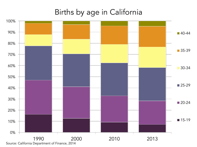#### Births by age in California



Source: California Department of Finance, 2014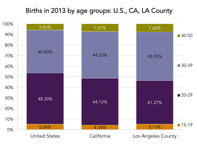#### Births in 2013 by age groups: U.S., CA, LA County

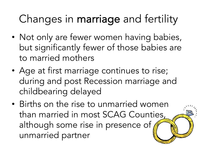# Changes in marriage and fertility

- Not only are fewer women having babies, but significantly fewer of those babies are to married mothers
- Age at first marriage continues to rise; during and post Recession marriage and childbearing delayed
- Births on the rise to unmarried women than married in most SCAG Counties, although some rise in presence of unmarried partner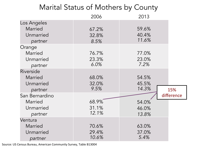| Marital Status of Mothers by County            |                         |                         |            |
|------------------------------------------------|-------------------------|-------------------------|------------|
|                                                | 2006                    | 2013                    |            |
| Los Angeles<br>Married<br>Unmarried<br>partner | 67.2%<br>32.8%<br>8.5%  | 59.6%<br>40.4%<br>11.6% |            |
| Orange<br>Married<br>Unmarried<br>partner      | 76.7%<br>23.3%<br>6.0%  | 77.0%<br>23.0%<br>7.2%  |            |
| Riverside<br>Married<br>Unmarried<br>partner   | 68.0%<br>32.0%<br>9.5%  | 54.5%<br>45.5%<br>14.3% | 15%        |
| San Bernardino<br>Married<br>Unmarried         | 68.9%<br>31.1%          | 54.0%<br>46.0%          | difference |
| partner<br>Ventura                             | 12.1%                   | 13.8%                   |            |
| Married<br>Unmarried<br>partner                | 70.6%<br>29.4%<br>10.6% | 63.0%<br>37.0%<br>5.4%  |            |

Source: US Census Bureau, American Community Survey, Table B13004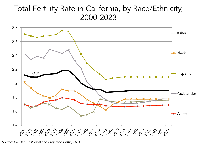#### Total Fertility Rate in California, by Race/Ethnicity, 2000-2023



*Source: CA DOF Historical and Projected Births, 2014*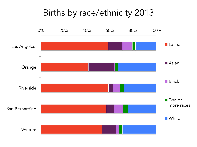### Births by race/ethnicity 2013

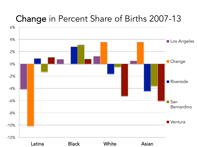### Change in Percent Share of Births 2007-13

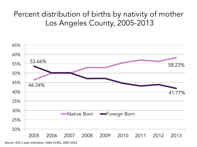### Percent distribution of births by nativity of mother Los Angeles County, 2005-2013



Source: ACS 1-year estimates, Table S1301, 2005-2013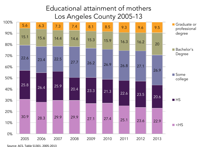#### Educational attainment of mothers Los Angeles County 2005-13



Source: ACS, Table S1301, 2005-2013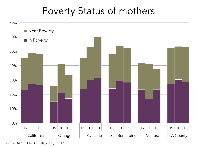## Poverty Status of mothers



Source: ACS Table B13010, 2005, 10, 13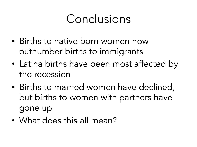# Conclusions

- Births to native born women now outnumber births to immigrants
- Latina births have been most affected by the recession
- Births to married women have declined, but births to women with partners have gone up
- What does this all mean?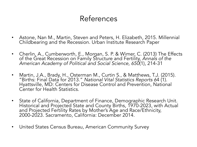### References

- Astone, Nan M., Martin, Steven and Peters, H. Elizabeth, 2015. Millennial Childbearing and the Recession. Urban Institute Research Paper
- Cherlin, A., Cumberworth, E., Morgan, S. P. & Wimer, C. (2013) The Effects of the Great Recession on Family Structure and Fertility, *Annals of the American Academy of Political and Social Science, 650*(1), 214-31
- Martin, J.A., Brady, H., Osterman M., Curtin S., & Matthews, T.J. (2015). "Births: Final Data for 2013." *National Vital Statistics Reports 6*4 (1). Hyattsville, MD: Centers for Disease Control and Prevention, National Center for Health Statistics.
- State of California, Department of Finance, Demographic Research Unit. Historical and Projected State and County Births, 1970-2023, with Actual and Projected Fertility Rates by Mother's Age and Race/Ethnicity, 2000-2023. Sacramento, California: December 2014.
- United States Census Bureau, American Community Survey